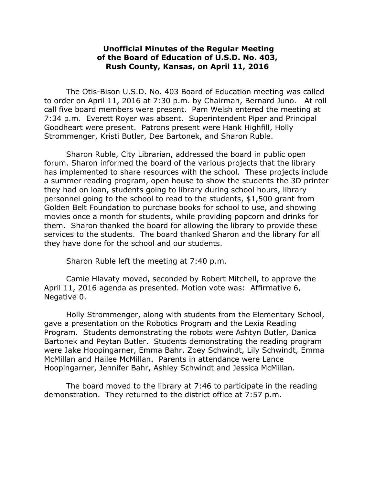## **Unofficial Minutes of the Regular Meeting of the Board of Education of U.S.D. No. 403, Rush County, Kansas, on April 11, 2016**

The Otis-Bison U.S.D. No. 403 Board of Education meeting was called to order on April 11, 2016 at 7:30 p.m. by Chairman, Bernard Juno. At roll call five board members were present. Pam Welsh entered the meeting at 7:34 p.m. Everett Royer was absent. Superintendent Piper and Principal Goodheart were present. Patrons present were Hank Highfill, Holly Strommenger, Kristi Butler, Dee Bartonek, and Sharon Ruble.

Sharon Ruble, City Librarian, addressed the board in public open forum. Sharon informed the board of the various projects that the library has implemented to share resources with the school. These projects include a summer reading program, open house to show the students the 3D printer they had on loan, students going to library during school hours, library personnel going to the school to read to the students, \$1,500 grant from Golden Belt Foundation to purchase books for school to use, and showing movies once a month for students, while providing popcorn and drinks for them. Sharon thanked the board for allowing the library to provide these services to the students. The board thanked Sharon and the library for all they have done for the school and our students.

Sharon Ruble left the meeting at 7:40 p.m.

Camie Hlavaty moved, seconded by Robert Mitchell, to approve the April 11, 2016 agenda as presented. Motion vote was: Affirmative 6, Negative 0.

Holly Strommenger, along with students from the Elementary School, gave a presentation on the Robotics Program and the Lexia Reading Program. Students demonstrating the robots were Ashtyn Butler, Danica Bartonek and Peytan Butler. Students demonstrating the reading program were Jake Hoopingarner, Emma Bahr, Zoey Schwindt, Lily Schwindt, Emma McMillan and Hailee McMillan. Parents in attendance were Lance Hoopingarner, Jennifer Bahr, Ashley Schwindt and Jessica McMillan.

The board moved to the library at 7:46 to participate in the reading demonstration. They returned to the district office at 7:57 p.m.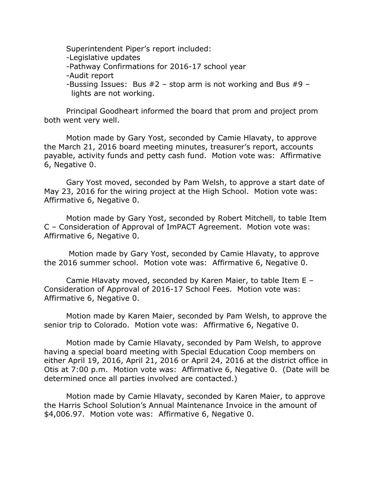Superintendent Piper's report included: Legislative updates -Pathway Confirmations for 2016-17 school year Audit report -Bussing Issues: Bus  $#2$  – stop arm is not working and Bus  $#9$  – lights are not working.

Principal Goodheart informed the board that prom and project prom both went very well.

Motion made by Gary Yost, seconded by Camie Hlavaty, to approve the March 21, 2016 board meeting minutes, treasurer's report, accounts payable, activity funds and petty cash fund. Motion vote was: Affirmative 6, Negative 0.

Gary Yost moved, seconded by Pam Welsh, to approve a start date of May 23, 2016 for the wiring project at the High School. Motion vote was: Affirmative 6, Negative 0.

Motion made by Gary Yost, seconded by Robert Mitchell, to table Item C – Consideration of Approval of ImPACT Agreement. Motion vote was: Affirmative 6, Negative 0.

 Motion made by Gary Yost, seconded by Camie Hlavaty, to approve the 2016 summer school. Motion vote was: Affirmative 6, Negative 0.

Camie Hlavaty moved, seconded by Karen Maier, to table Item E – Consideration of Approval of 2016-17 School Fees. Motion vote was: Affirmative 6, Negative 0.

Motion made by Karen Maier, seconded by Pam Welsh, to approve the senior trip to Colorado. Motion vote was: Affirmative 6, Negative 0.

Motion made by Camie Hlavaty, seconded by Pam Welsh, to approve having a special board meeting with Special Education Coop members on either April 19, 2016, April 21, 2016 or April 24, 2016 at the district office in Otis at 7:00 p.m. Motion vote was: Affirmative 6, Negative 0. (Date will be determined once all parties involved are contacted.)

Motion made by Camie Hlavaty, seconded by Karen Maier, to approve the Harris School Solution's Annual Maintenance Invoice in the amount of \$4,006.97. Motion vote was: Affirmative 6, Negative 0.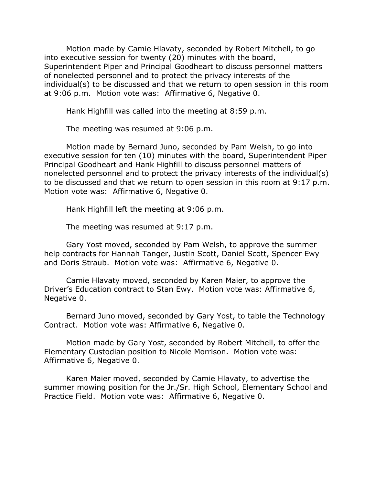Motion made by Camie Hlavaty, seconded by Robert Mitchell, to go into executive session for twenty (20) minutes with the board, Superintendent Piper and Principal Goodheart to discuss personnel matters of nonelected personnel and to protect the privacy interests of the individual(s) to be discussed and that we return to open session in this room at 9:06 p.m. Motion vote was: Affirmative 6, Negative 0.

Hank Highfill was called into the meeting at 8:59 p.m.

The meeting was resumed at 9:06 p.m.

Motion made by Bernard Juno, seconded by Pam Welsh, to go into executive session for ten (10) minutes with the board, Superintendent Piper Principal Goodheart and Hank Highfill to discuss personnel matters of nonelected personnel and to protect the privacy interests of the individual(s) to be discussed and that we return to open session in this room at 9:17 p.m. Motion vote was: Affirmative 6, Negative 0.

Hank Highfill left the meeting at 9:06 p.m.

The meeting was resumed at 9:17 p.m.

Gary Yost moved, seconded by Pam Welsh, to approve the summer help contracts for Hannah Tanger, Justin Scott, Daniel Scott, Spencer Ewy and Doris Straub. Motion vote was: Affirmative 6, Negative 0.

Camie Hlavaty moved, seconded by Karen Maier, to approve the Driver's Education contract to Stan Ewy. Motion vote was: Affirmative 6, Negative 0.

Bernard Juno moved, seconded by Gary Yost, to table the Technology Contract. Motion vote was: Affirmative 6, Negative 0.

Motion made by Gary Yost, seconded by Robert Mitchell, to offer the Elementary Custodian position to Nicole Morrison. Motion vote was: Affirmative 6, Negative 0.

Karen Maier moved, seconded by Camie Hlavaty, to advertise the summer mowing position for the Jr./Sr. High School, Elementary School and Practice Field. Motion vote was: Affirmative 6, Negative 0.